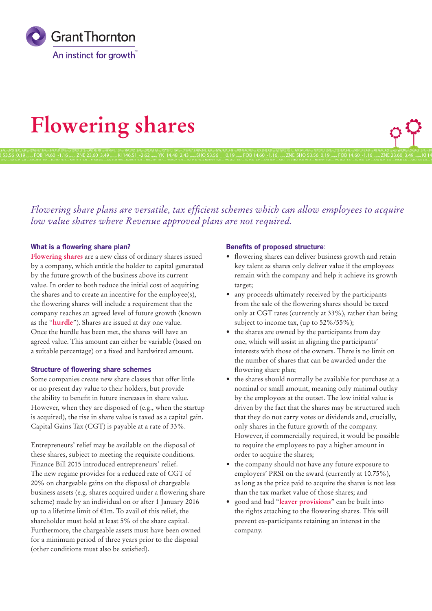

# **Flowering shares**

SHQ 53.56 0.19 ...... FOB 14.60 -1.16 ...... ZNE 23.60 3.49 ...... KI 146.51 -2.62 ...... YK 14.48 2.43 ......SHQ 53.56 0.19 ...... FOB 14.60 -1.16 ...... ZNE

*Flowering share plans are versatile, tax efficient schemes which can allow employees to acquire low value shares where Revenue approved plans are not required.* 

# **What is a flowering share plan?**

**Flowering shares** are a new class of ordinary shares issued by a company, which entitle the holder to capital generated by the future growth of the business above its current value. In order to both reduce the initial cost of acquiring the shares and to create an incentive for the employee(s), the flowering shares will include a requirement that the company reaches an agreed level of future growth (known as the "**hurdle**"). Shares are issued at day one value. Once the hurdle has been met, the shares will have an agreed value. This amount can either be variable (based on a suitable percentage) or a fixed and hardwired amount.

# **Structure of flowering share schemes**

Some companies create new share classes that offer little or no present day value to their holders, but provide the ability to benefit in future increases in share value. However, when they are disposed of (e.g., when the startup is acquired), the rise in share value is taxed as a capital gain. Capital Gains Tax (CGT) is payable at a rate of 33%.

Entrepreneurs' relief may be available on the disposal of these shares, subject to meeting the requisite conditions. Finance Bill 2015 introduced entrepreneurs' relief. The new regime provides for a reduced rate of CGT of 20% on chargeable gains on the disposal of chargeable business assets (e.g. shares acquired under a flowering share scheme) made by an individual on or after 1 January 2016 up to a lifetime limit of €1m. To avail of this relief, the shareholder must hold at least 5% of the share capital. Furthermore, the chargeable assets must have been owned for a minimum period of three years prior to the disposal (other conditions must also be satisfied).

### **Benefits of proposed structure**:

• flowering shares can deliver business growth and retain key talent as shares only deliver value if the employees remain with the company and help it achieve its growth target;

SHQ 53.56 0.19 ...... FOB 14.60 -1.16 ...... ZNE 23.60 3.49 ...... KI 14

- any proceeds ultimately received by the participants from the sale of the flowering shares should be taxed only at CGT rates (currently at 33%), rather than being subject to income tax, (up to 52%/55%);
- the shares are owned by the participants from day one, which will assist in aligning the participants' interests with those of the owners. There is no limit on the number of shares that can be awarded under the flowering share plan;
- the shares should normally be available for purchase at a nominal or small amount, meaning only minimal outlay by the employees at the outset. The low initial value is driven by the fact that the shares may be structured such that they do not carry votes or dividends and, crucially, only shares in the future growth of the company. However, if commercially required, it would be possible to require the employees to pay a higher amount in order to acquire the shares;
- the company should not have any future exposure to employers' PRSI on the award (currently at 10.75%), as long as the price paid to acquire the shares is not less than the tax market value of those shares; and
- good and bad "**leaver provisions**" can be built into the rights attaching to the flowering shares. This will prevent ex-participants retaining an interest in the company.